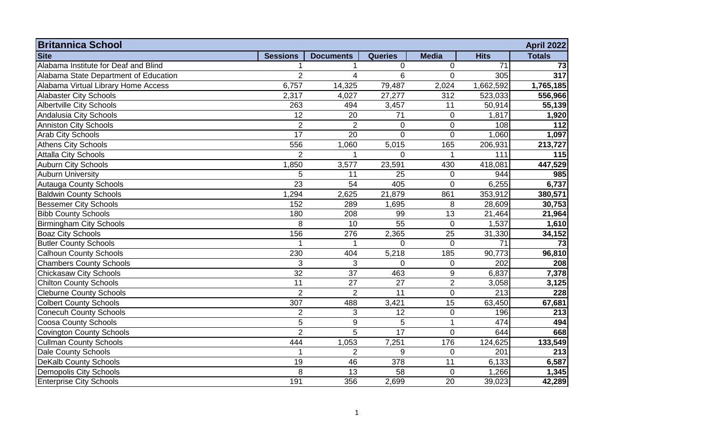| <b>Britannica School</b><br><b>April 2022</b> |                 |                  |                 |                 |             |               |  |  |
|-----------------------------------------------|-----------------|------------------|-----------------|-----------------|-------------|---------------|--|--|
| <b>Site</b>                                   | <b>Sessions</b> | <b>Documents</b> | <b>Queries</b>  | <b>Media</b>    | <b>Hits</b> | <b>Totals</b> |  |  |
| Alabama Institute for Deaf and Blind          |                 |                  | 0               | $\mathbf 0$     | 71          | 73            |  |  |
| Alabama State Department of Education         | $\overline{2}$  | $\overline{4}$   | 6               | $\mathbf 0$     | 305         | 317           |  |  |
| Alabama Virtual Library Home Access           | 6,757           | 14,325           | 79,487          | 2,024           | 1,662,592   | 1,765,185     |  |  |
| <b>Alabaster City Schools</b>                 | 2,317           | 4,027            | 27,277          | 312             | 523,033     | 556,966       |  |  |
| <b>Albertville City Schools</b>               | 263             | 494              | 3,457           | 11              | 50,914      | 55,139        |  |  |
| Andalusia City Schools                        | 12              | 20               | 71              | $\mathbf 0$     | 1,817       | 1,920         |  |  |
| <b>Anniston City Schools</b>                  | $\overline{2}$  | $\overline{2}$   | $\mathbf 0$     | $\mathbf 0$     | 108         | 112           |  |  |
| <b>Arab City Schools</b>                      | 17              | 20               | $\mathbf 0$     | $\mathbf 0$     | 1,060       | 1,097         |  |  |
| <b>Athens City Schools</b>                    | 556             | 1,060            | 5,015           | 165             | 206,931     | 213,727       |  |  |
| <b>Attalla City Schools</b>                   | $\overline{2}$  |                  | $\Omega$        |                 | 111         | 115           |  |  |
| <b>Auburn City Schools</b>                    | 1,850           | 3,577            | 23,591          | 430             | 418,081     | 447,529       |  |  |
| <b>Auburn University</b>                      | 5               | 11               | 25              | $\mathbf 0$     | 944         | 985           |  |  |
| <b>Autauga County Schools</b>                 | $\overline{23}$ | 54               | 405             | $\mathbf 0$     | 6,255       | 6,737         |  |  |
| <b>Baldwin County Schools</b>                 | 1,294           | 2,625            | 21,879          | 861             | 353,912     | 380,571       |  |  |
| <b>Bessemer City Schools</b>                  | 152             | 289              | 1,695           | 8               | 28,609      | 30,753        |  |  |
| <b>Bibb County Schools</b>                    | 180             | 208              | 99              | 13              | 21,464      | 21,964        |  |  |
| <b>Birmingham City Schools</b>                | 8               | 10               | 55              | $\mathbf 0$     | 1,537       | 1,610         |  |  |
| <b>Boaz City Schools</b>                      | 156             | 276              | 2,365           | 25              | 31,330      | 34,152        |  |  |
| <b>Butler County Schools</b>                  |                 | 1                | $\Omega$        | $\Omega$        | 71          | 73            |  |  |
| <b>Calhoun County Schools</b>                 | 230             | 404              | 5,218           | 185             | 90,773      | 96,810        |  |  |
| <b>Chambers County Schools</b>                | 3               | 3                | $\mathbf 0$     | $\mathbf 0$     | 202         | 208           |  |  |
| <b>Chickasaw City Schools</b>                 | 32              | 37               | 463             | $9\,$           | 6,837       | 7,378         |  |  |
| <b>Chilton County Schools</b>                 | 11              | 27               | 27              | $\overline{2}$  | 3,058       | 3,125         |  |  |
| <b>Cleburne County Schools</b>                | $\overline{2}$  | $\overline{2}$   | 11              | $\mathbf 0$     | 213         | 228           |  |  |
| <b>Colbert County Schools</b>                 | 307             | 488              | 3,421           | $\overline{15}$ | 63,450      | 67,681        |  |  |
| <b>Conecuh County Schools</b>                 | $\overline{2}$  | 3                | $\overline{12}$ | $\mathbf 0$     | 196         | 213           |  |  |
| <b>Coosa County Schools</b>                   | 5               | $9\,$            | 5               | $\overline{1}$  | 474         | 494           |  |  |
| <b>Covington County Schools</b>               | $\overline{2}$  | 5                | 17              | $\mathbf 0$     | 644         | 668           |  |  |
| <b>Cullman County Schools</b>                 | 444             | 1,053            | 7,251           | 176             | 124,625     | 133,549       |  |  |
| <b>Dale County Schools</b>                    | -1              | $\overline{2}$   | 9               | $\mathbf 0$     | 201         | 213           |  |  |
| <b>DeKalb County Schools</b>                  | 19              | 46               | 378             | 11              | 6,133       | 6,587         |  |  |
| <b>Demopolis City Schools</b>                 | 8               | 13               | 58              | $\mathbf 0$     | 1,266       | 1,345         |  |  |
| <b>Enterprise City Schools</b>                | 191             | 356              | 2,699           | 20              | 39,023      | 42,289        |  |  |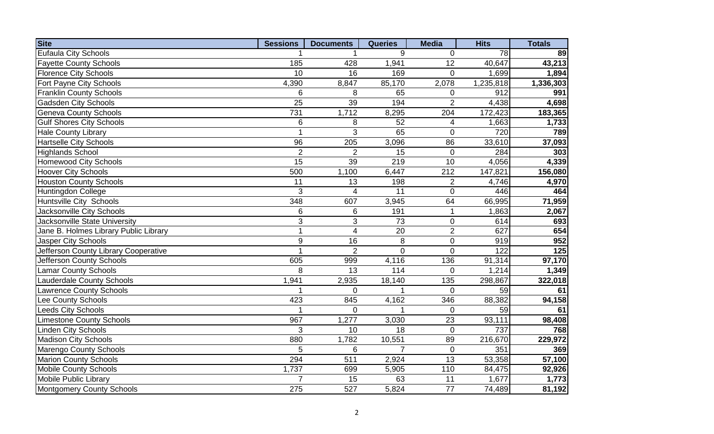| <b>Site</b>                           | <b>Sessions</b> | <b>Documents</b> | <b>Queries</b>    | <b>Media</b>   | <b>Hits</b>        | <b>Totals</b> |
|---------------------------------------|-----------------|------------------|-------------------|----------------|--------------------|---------------|
| Eufaula City Schools                  |                 |                  | 9                 | $\mathbf 0$    | 78                 | 89            |
| <b>Fayette County Schools</b>         | 185             | 428              | 1,941             | 12             | 40,647             | 43,213        |
| <b>Florence City Schools</b>          | 10              | 16               | 169               | $\Omega$       | 1,699              | 1,894         |
| Fort Payne City Schools               | 4,390           | 8,847            | 85,170            | 2,078          | 1,235,818          | 1,336,303     |
| <b>Franklin County Schools</b>        | 6               | 8                | 65                | $\mathbf 0$    | 912                | 991           |
| <b>Gadsden City Schools</b>           | $\overline{25}$ | 39               | 194               | $\overline{2}$ | 4,438              | 4,698         |
| <b>Geneva County Schools</b>          | 731             | 1,712            | 8,295             | 204            | 172,423            | 183,365       |
| <b>Gulf Shores City Schools</b>       | 6               | 8                | 52                | 4              | 1,663              | 1,733         |
| <b>Hale County Library</b>            | $\mathbf{1}$    | 3                | 65                | $\mathbf 0$    | 720                | 789           |
| <b>Hartselle City Schools</b>         | $\overline{96}$ | 205              | 3,096             | 86             | 33,610             | 37,093        |
| <b>Highlands School</b>               | $\overline{2}$  | $\overline{2}$   | 15                | $\mathbf 0$    | 284                | 303           |
| <b>Homewood City Schools</b>          | $\overline{15}$ | 39               | 219               | 10             | 4,056              | 4,339         |
| <b>Hoover City Schools</b>            | 500             | 1,100            | 6,447             | 212            | 147,821            | 156,080       |
| <b>Houston County Schools</b>         | $\overline{11}$ | 13               | 198               | $\overline{2}$ | 4,746              | 4,970         |
| Huntingdon College                    | $\overline{3}$  | 4                | 11                | $\mathbf 0$    | 446                | 464           |
| Huntsville City Schools               | 348             | 607              | 3,945             | 64             | 66,995             | 71,959        |
| Jacksonville City Schools             | 6               | 6                | 191               | $\mathbf{1}$   | 1,863              | 2,067         |
| Jacksonville State University         | $\overline{3}$  | 3                | 73                | $\mathbf 0$    | 614                | 693           |
| Jane B. Holmes Library Public Library | $\mathbf{1}$    | 4                | 20                | $\overline{2}$ | 627                | 654           |
| Jasper City Schools                   | 9               | 16               | 8                 | $\pmb{0}$      | 919                | 952           |
| Jefferson County Library Cooperative  | 1               | $\overline{2}$   | $\overline{0}$    | $\mathbf 0$    | 122                | 125           |
| Jefferson County Schools              | 605             | 999              | 4,116             | 136            | 91,314             | 97,170        |
| <b>Lamar County Schools</b>           | 8               | 13               | $\frac{114}{114}$ | $\mathbf 0$    | 1,214              | 1,349         |
| Lauderdale County Schools             | 1,941           | 2,935            | 18,140            | 135            | 298,867            | 322,018       |
| <b>Lawrence County Schools</b>        |                 | $\Omega$         |                   | $\mathbf 0$    | 59                 | 61            |
| Lee County Schools                    | 423             | 845              | 4,162             | 346            | 88,382             | 94,158        |
| <b>Leeds City Schools</b>             |                 | $\mathbf 0$      |                   | $\mathbf 0$    | 59                 | 61            |
| <b>Limestone County Schools</b>       | 967             | 1,277            | 3,030             | 23             | 93,111             | 98,408        |
| <b>Linden City Schools</b>            | 3               | 10               | 18                | $\mathbf 0$    | 737                | 768           |
| <b>Madison City Schools</b>           | 880             | 1,782            | 10,551            | 89             | 216,670            | 229,972       |
| <b>Marengo County Schools</b>         | 5               | 6                | $\overline{7}$    | $\mathbf 0$    | 351                | 369           |
| <b>Marion County Schools</b>          | 294             | $\overline{511}$ | 2,924             | 13             | 53,358             | 57,100        |
| <b>Mobile County Schools</b>          | 1,737           | 699              | 5,905             | 110            | 84,475             | 92,926        |
| <b>Mobile Public Library</b>          | $\overline{7}$  | 15               | 63                | 11             | $1,67\overline{7}$ | 1,773         |
| Montgomery County Schools             | 275             | 527              | 5,824             | 77             | 74,489             | 81,192        |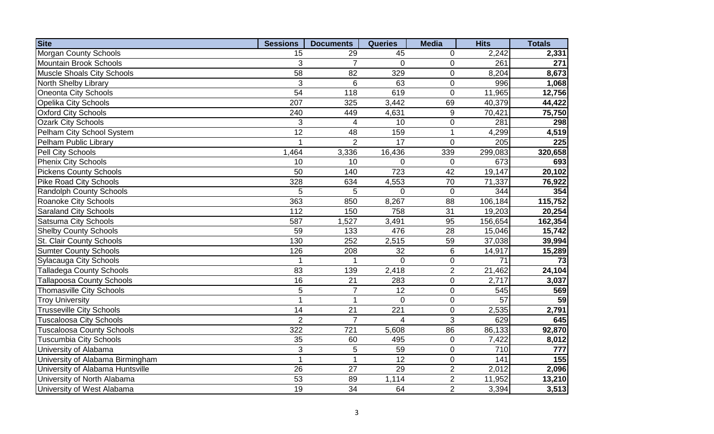| <b>Site</b>                      | <b>Sessions</b> | <b>Documents</b> | <b>Queries</b>  | <b>Media</b>     | <b>Hits</b>     | <b>Totals</b> |
|----------------------------------|-----------------|------------------|-----------------|------------------|-----------------|---------------|
| <b>Morgan County Schools</b>     | 15              | 29               | 45              | 0                | 2,242           | 2,331         |
| Mountain Brook Schools           | 3               | $\overline{7}$   | $\Omega$        | $\mathbf 0$      | 261             | 271           |
| Muscle Shoals City Schools       | $\overline{58}$ | 82               | 329             | $\mathbf 0$      | 8,204           | 8,673         |
| <b>North Shelby Library</b>      | 3               | $6\phantom{1}6$  | 63              | $\mathbf 0$      | 996             | 1,068         |
| <b>Oneonta City Schools</b>      | 54              | 118              | 619             | $\mathbf 0$      | 11,965          | 12,756        |
| <b>Opelika City Schools</b>      | 207             | 325              | 3,442           | 69               | 40,379          | 44,422        |
| <b>Oxford City Schools</b>       | 240             | 449              | 4,631           | $\boldsymbol{9}$ | 70,421          | 75,750        |
| <b>Ozark City Schools</b>        | 3               | 4                | 10              | $\pmb{0}$        | 281             | 298           |
| Pelham City School System        | $\overline{12}$ | 48               | 159             | $\mathbf{1}$     | 4,299           | 4,519         |
| Pelham Public Library            | 1               | $\overline{2}$   | $\overline{17}$ | $\mathbf 0$      | 205             | 225           |
| Pell City Schools                | 1,464           | 3,336            | 16,436          | 339              | 299,083         | 320,658       |
| <b>Phenix City Schools</b>       | 10              | 10               | $\pmb{0}$       | $\boldsymbol{0}$ | 673             | 693           |
| <b>Pickens County Schools</b>    | 50              | 140              | 723             | 42               | 19,147          | 20,102        |
| <b>Pike Road City Schools</b>    | 328             | 634              | 4,553           | 70               | 71,337          | 76,922        |
| <b>Randolph County Schools</b>   | 5               | 5                | $\mathbf 0$     | $\pmb{0}$        | 344             | 354           |
| Roanoke City Schools             | 363             | 850              | 8,267           | 88               | 106,184         | 115,752       |
| <b>Saraland City Schools</b>     | 112             | 150              | 758             | 31               | 19,203          | 20,254        |
| <b>Satsuma City Schools</b>      | 587             | 1,527            | 3,491           | 95               | 156,654         | 162,354       |
| <b>Shelby County Schools</b>     | 59              | 133              | 476             | 28               | 15,046          | 15,742        |
| <b>St. Clair County Schools</b>  | 130             | 252              | 2,515           | 59               | 37,038          | 39,994        |
| <b>Sumter County Schools</b>     | 126             | 208              | 32              | $\,6\,$          | 14,917          | 15,289        |
| <b>Sylacauga City Schools</b>    |                 |                  | $\overline{0}$  | $\pmb{0}$        | $\overline{71}$ | 73            |
| <b>Talladega County Schools</b>  | $\overline{83}$ | 139              | 2,418           | $\overline{2}$   | 21,462          | 24,104        |
| <b>Tallapoosa County Schools</b> | $\overline{16}$ | $\overline{21}$  | 283             | $\mathbf 0$      | 2,717           | 3,037         |
| <b>Thomasville City Schools</b>  | $\overline{5}$  | $\overline{7}$   | $\overline{12}$ | $\boldsymbol{0}$ | 545             | 569           |
| <b>Troy University</b>           | $\overline{1}$  | $\overline{1}$   | $\mathbf 0$     | $\pmb{0}$        | $\overline{57}$ | 59            |
| <b>Trusseville City Schools</b>  | 14              | 21               | 221             | $\pmb{0}$        | 2,535           | 2,791         |
| <b>Tuscaloosa City Schools</b>   | $\overline{2}$  | $\overline{7}$   | 4               | $\mathbf{3}$     | 629             | 645           |
| <b>Tuscaloosa County Schools</b> | 322             | $\overline{721}$ | 5,608           | 86               | 86,133          | 92,870        |
| <b>Tuscumbia City Schools</b>    | 35              | 60               | 495             | $\mathbf 0$      | 7,422           | 8,012         |
| University of Alabama            | $\overline{3}$  | 5                | 59              | $\mathbf 0$      | 710             | 777           |
| University of Alabama Birmingham | $\mathbf{1}$    | $\overline{1}$   | $\overline{12}$ | $\mathbf 0$      | 141             | 155           |
| University of Alabama Huntsville | 26              | 27               | 29              | $\overline{2}$   | 2,012           | 2,096         |
| University of North Alabama      | $\overline{53}$ | 89               | 1,114           | $\overline{2}$   | 11,952          | 13,210        |
| University of West Alabama       | 19              | 34               | 64              | $\overline{2}$   | 3,394           | 3,513         |